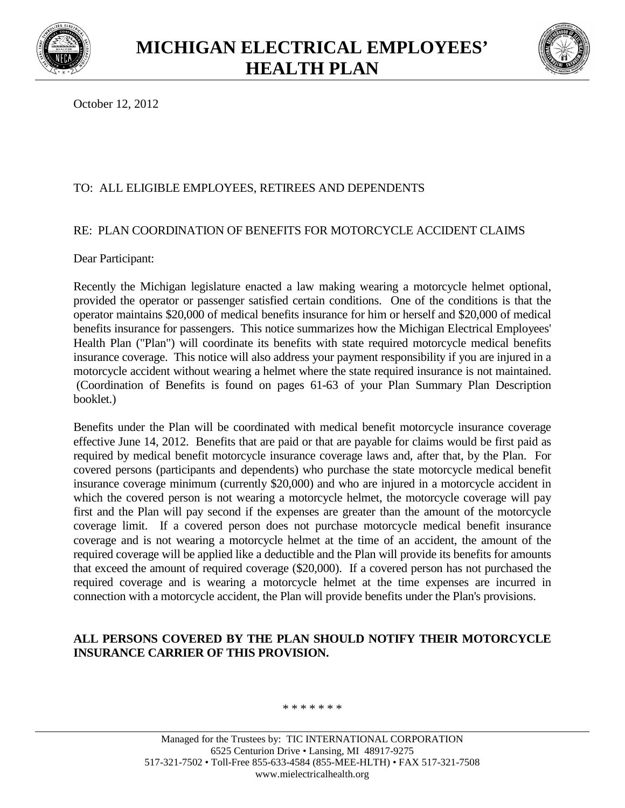



October 12, 2012

# TO: ALL ELIGIBLE EMPLOYEES, RETIREES AND DEPENDENTS

## RE: PLAN COORDINATION OF BENEFITS FOR MOTORCYCLE ACCIDENT CLAIMS

Dear Participant:

Recently the Michigan legislature enacted a law making wearing a motorcycle helmet optional, provided the operator or passenger satisfied certain conditions. One of the conditions is that the operator maintains \$20,000 of medical benefits insurance for him or herself and \$20,000 of medical benefits insurance for passengers. This notice summarizes how the Michigan Electrical Employees' Health Plan ("Plan") will coordinate its benefits with state required motorcycle medical benefits insurance coverage. This notice will also address your payment responsibility if you are injured in a motorcycle accident without wearing a helmet where the state required insurance is not maintained. (Coordination of Benefits is found on pages 61-63 of your Plan Summary Plan Description booklet.)

Benefits under the Plan will be coordinated with medical benefit motorcycle insurance coverage effective June 14, 2012. Benefits that are paid or that are payable for claims would be first paid as required by medical benefit motorcycle insurance coverage laws and, after that, by the Plan. For covered persons (participants and dependents) who purchase the state motorcycle medical benefit insurance coverage minimum (currently \$20,000) and who are injured in a motorcycle accident in which the covered person is not wearing a motorcycle helmet, the motorcycle coverage will pay first and the Plan will pay second if the expenses are greater than the amount of the motorcycle coverage limit. If a covered person does not purchase motorcycle medical benefit insurance coverage and is not wearing a motorcycle helmet at the time of an accident, the amount of the required coverage will be applied like a deductible and the Plan will provide its benefits for amounts that exceed the amount of required coverage (\$20,000). If a covered person has not purchased the required coverage and is wearing a motorcycle helmet at the time expenses are incurred in connection with a motorcycle accident, the Plan will provide benefits under the Plan's provisions.

## **ALL PERSONS COVERED BY THE PLAN SHOULD NOTIFY THEIR MOTORCYCLE INSURANCE CARRIER OF THIS PROVISION.**

#### \* \* \* \* \* \* \*